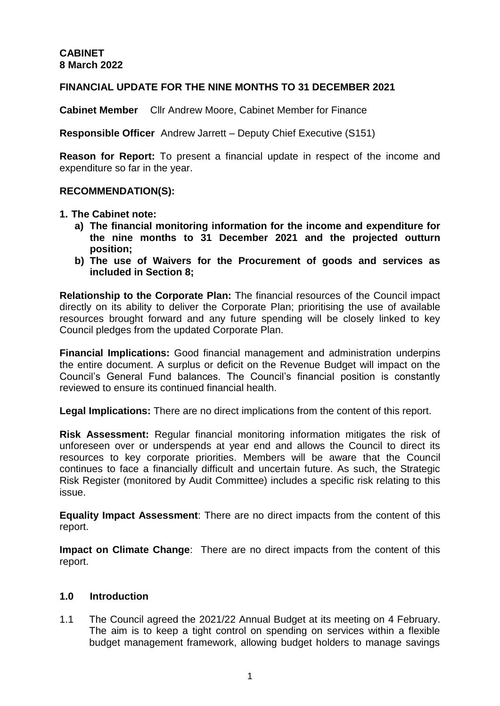## **FINANCIAL UPDATE FOR THE NINE MONTHS TO 31 DECEMBER 2021**

**Cabinet Member** Cllr Andrew Moore, Cabinet Member for Finance

**Responsible Officer** Andrew Jarrett – Deputy Chief Executive (S151)

**Reason for Report:** To present a financial update in respect of the income and expenditure so far in the year.

#### **RECOMMENDATION(S):**

- **1. The Cabinet note:**
	- **a) The financial monitoring information for the income and expenditure for the nine months to 31 December 2021 and the projected outturn position;**
	- **b) The use of Waivers for the Procurement of goods and services as included in Section 8;**

**Relationship to the Corporate Plan:** The financial resources of the Council impact directly on its ability to deliver the Corporate Plan; prioritising the use of available resources brought forward and any future spending will be closely linked to key Council pledges from the updated Corporate Plan.

**Financial Implications:** Good financial management and administration underpins the entire document. A surplus or deficit on the Revenue Budget will impact on the Council's General Fund balances. The Council's financial position is constantly reviewed to ensure its continued financial health.

**Legal Implications:** There are no direct implications from the content of this report.

**Risk Assessment:** Regular financial monitoring information mitigates the risk of unforeseen over or underspends at year end and allows the Council to direct its resources to key corporate priorities. Members will be aware that the Council continues to face a financially difficult and uncertain future. As such, the Strategic Risk Register (monitored by Audit Committee) includes a specific risk relating to this issue.

**Equality Impact Assessment**: There are no direct impacts from the content of this report.

**Impact on Climate Change**: There are no direct impacts from the content of this report.

## **1.0 Introduction**

1.1 The Council agreed the 2021/22 Annual Budget at its meeting on 4 February. The aim is to keep a tight control on spending on services within a flexible budget management framework, allowing budget holders to manage savings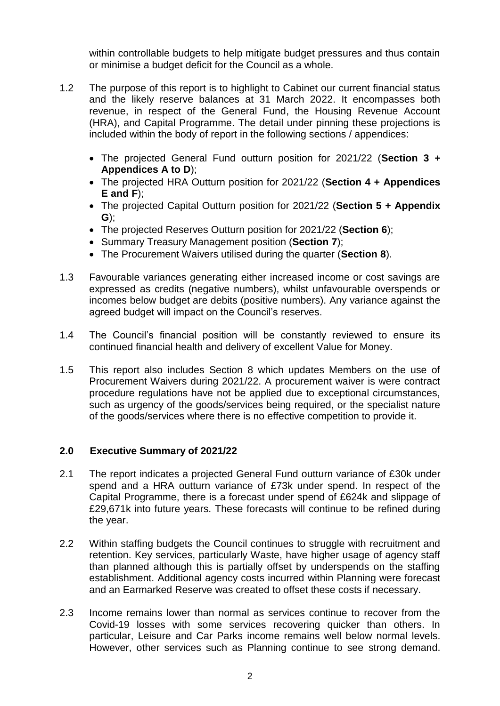within controllable budgets to help mitigate budget pressures and thus contain or minimise a budget deficit for the Council as a whole.

- 1.2 The purpose of this report is to highlight to Cabinet our current financial status and the likely reserve balances at 31 March 2022. It encompasses both revenue, in respect of the General Fund, the Housing Revenue Account (HRA), and Capital Programme. The detail under pinning these projections is included within the body of report in the following sections / appendices:
	- The projected General Fund outturn position for 2021/22 (**Section 3 + Appendices A to D**);
	- The projected HRA Outturn position for 2021/22 (**Section 4 + Appendices E and F**);
	- The projected Capital Outturn position for 2021/22 (**Section 5 + Appendix G**);
	- The projected Reserves Outturn position for 2021/22 (**Section 6**);
	- Summary Treasury Management position (**Section 7**);
	- The Procurement Waivers utilised during the quarter (**Section 8**).
- 1.3 Favourable variances generating either increased income or cost savings are expressed as credits (negative numbers), whilst unfavourable overspends or incomes below budget are debits (positive numbers). Any variance against the agreed budget will impact on the Council's reserves.
- 1.4 The Council's financial position will be constantly reviewed to ensure its continued financial health and delivery of excellent Value for Money.
- 1.5 This report also includes Section 8 which updates Members on the use of Procurement Waivers during 2021/22. A procurement waiver is were contract procedure regulations have not be applied due to exceptional circumstances, such as urgency of the goods/services being required, or the specialist nature of the goods/services where there is no effective competition to provide it.

# **2.0 Executive Summary of 2021/22**

- 2.1 The report indicates a projected General Fund outturn variance of £30k under spend and a HRA outturn variance of £73k under spend. In respect of the Capital Programme, there is a forecast under spend of £624k and slippage of £29,671k into future years. These forecasts will continue to be refined during the year.
- 2.2 Within staffing budgets the Council continues to struggle with recruitment and retention. Key services, particularly Waste, have higher usage of agency staff than planned although this is partially offset by underspends on the staffing establishment. Additional agency costs incurred within Planning were forecast and an Earmarked Reserve was created to offset these costs if necessary.
- 2.3 Income remains lower than normal as services continue to recover from the Covid-19 losses with some services recovering quicker than others. In particular, Leisure and Car Parks income remains well below normal levels. However, other services such as Planning continue to see strong demand.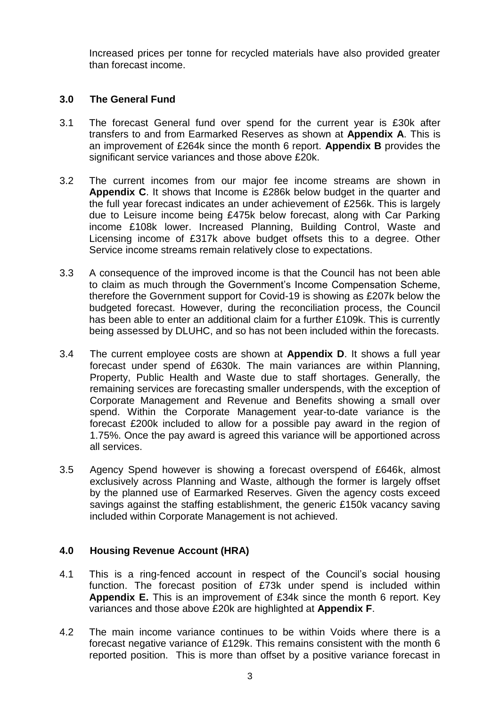Increased prices per tonne for recycled materials have also provided greater than forecast income.

## **3.0 The General Fund**

- 3.1 The forecast General fund over spend for the current year is £30k after transfers to and from Earmarked Reserves as shown at **Appendix A**. This is an improvement of £264k since the month 6 report. **Appendix B** provides the significant service variances and those above £20k.
- 3.2 The current incomes from our major fee income streams are shown in **Appendix C**. It shows that Income is £286k below budget in the quarter and the full year forecast indicates an under achievement of £256k. This is largely due to Leisure income being £475k below forecast, along with Car Parking income £108k lower. Increased Planning, Building Control, Waste and Licensing income of £317k above budget offsets this to a degree. Other Service income streams remain relatively close to expectations.
- 3.3 A consequence of the improved income is that the Council has not been able to claim as much through the Government's Income Compensation Scheme, therefore the Government support for Covid-19 is showing as £207k below the budgeted forecast. However, during the reconciliation process, the Council has been able to enter an additional claim for a further £109k. This is currently being assessed by DLUHC, and so has not been included within the forecasts.
- 3.4 The current employee costs are shown at **Appendix D**. It shows a full year forecast under spend of £630k. The main variances are within Planning, Property, Public Health and Waste due to staff shortages. Generally, the remaining services are forecasting smaller underspends, with the exception of Corporate Management and Revenue and Benefits showing a small over spend. Within the Corporate Management year-to-date variance is the forecast £200k included to allow for a possible pay award in the region of 1.75%. Once the pay award is agreed this variance will be apportioned across all services.
- 3.5 Agency Spend however is showing a forecast overspend of £646k, almost exclusively across Planning and Waste, although the former is largely offset by the planned use of Earmarked Reserves. Given the agency costs exceed savings against the staffing establishment, the generic £150k vacancy saving included within Corporate Management is not achieved.

# **4.0 Housing Revenue Account (HRA)**

- 4.1 This is a ring-fenced account in respect of the Council's social housing function. The forecast position of £73k under spend is included within **Appendix E.** This is an improvement of £34k since the month 6 report. Key variances and those above £20k are highlighted at **Appendix F**.
- 4.2 The main income variance continues to be within Voids where there is a forecast negative variance of £129k. This remains consistent with the month 6 reported position. This is more than offset by a positive variance forecast in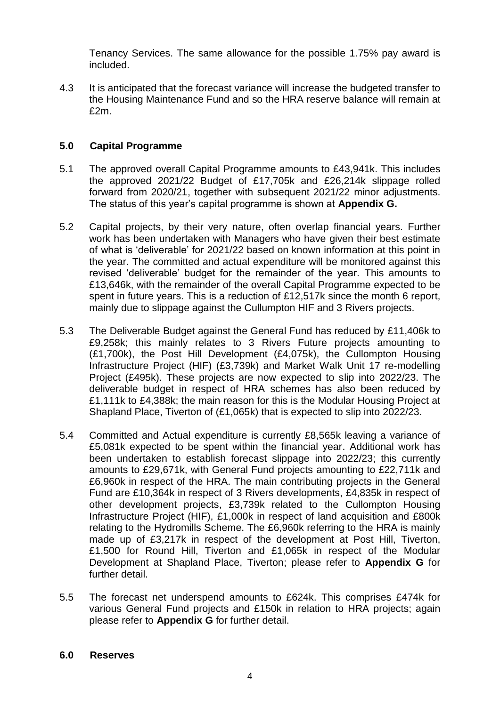Tenancy Services. The same allowance for the possible 1.75% pay award is included.

4.3 It is anticipated that the forecast variance will increase the budgeted transfer to the Housing Maintenance Fund and so the HRA reserve balance will remain at £2m.

## **5.0 Capital Programme**

- 5.1 The approved overall Capital Programme amounts to £43,941k. This includes the approved 2021/22 Budget of £17,705k and £26,214k slippage rolled forward from 2020/21, together with subsequent 2021/22 minor adjustments. The status of this year's capital programme is shown at **Appendix G.**
- 5.2 Capital projects, by their very nature, often overlap financial years. Further work has been undertaken with Managers who have given their best estimate of what is 'deliverable' for 2021/22 based on known information at this point in the year. The committed and actual expenditure will be monitored against this revised 'deliverable' budget for the remainder of the year. This amounts to £13,646k, with the remainder of the overall Capital Programme expected to be spent in future years. This is a reduction of £12,517k since the month 6 report, mainly due to slippage against the Cullumpton HIF and 3 Rivers projects.
- 5.3 The Deliverable Budget against the General Fund has reduced by £11,406k to £9,258k; this mainly relates to 3 Rivers Future projects amounting to (£1,700k), the Post Hill Development (£4,075k), the Cullompton Housing Infrastructure Project (HIF) (£3,739k) and Market Walk Unit 17 re-modelling Project (£495k). These projects are now expected to slip into 2022/23. The deliverable budget in respect of HRA schemes has also been reduced by £1,111k to £4,388k; the main reason for this is the Modular Housing Project at Shapland Place, Tiverton of (£1,065k) that is expected to slip into 2022/23.
- 5.4 Committed and Actual expenditure is currently £8,565k leaving a variance of £5,081k expected to be spent within the financial year. Additional work has been undertaken to establish forecast slippage into 2022/23; this currently amounts to £29,671k, with General Fund projects amounting to £22,711k and £6,960k in respect of the HRA. The main contributing projects in the General Fund are £10,364k in respect of 3 Rivers developments, £4,835k in respect of other development projects, £3,739k related to the Cullompton Housing Infrastructure Project (HIF), £1,000k in respect of land acquisition and £800k relating to the Hydromills Scheme. The £6,960k referring to the HRA is mainly made up of £3,217k in respect of the development at Post Hill, Tiverton, £1,500 for Round Hill, Tiverton and £1,065k in respect of the Modular Development at Shapland Place, Tiverton; please refer to **Appendix G** for further detail.
- 5.5 The forecast net underspend amounts to £624k. This comprises £474k for various General Fund projects and £150k in relation to HRA projects; again please refer to **Appendix G** for further detail.

## **6.0 Reserves**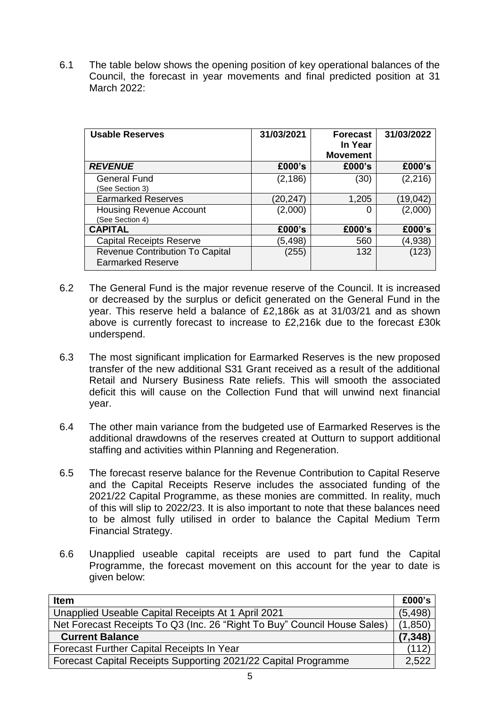6.1 The table below shows the opening position of key operational balances of the Council, the forecast in year movements and final predicted position at 31 March 2022:

| <b>Usable Reserves</b>                                             | 31/03/2021 | <b>Forecast</b><br>In Year<br><b>Movement</b> | 31/03/2022 |
|--------------------------------------------------------------------|------------|-----------------------------------------------|------------|
| <b>REVENUE</b>                                                     | £000's     | £000's                                        | £000's     |
| <b>General Fund</b><br>(See Section 3)                             | (2, 186)   | (30)                                          | (2, 216)   |
| <b>Earmarked Reserves</b>                                          | (20,247)   | 1,205                                         | (19, 042)  |
| <b>Housing Revenue Account</b><br>(See Section 4)                  | (2,000)    | O                                             | (2,000)    |
| <b>CAPITAL</b>                                                     | £000's     | £000's                                        | £000's     |
| <b>Capital Receipts Reserve</b>                                    | (5,498)    | 560                                           | (4,938)    |
| <b>Revenue Contribution To Capital</b><br><b>Earmarked Reserve</b> | (255)      | 132                                           | (123)      |

- 6.2 The General Fund is the major revenue reserve of the Council. It is increased or decreased by the surplus or deficit generated on the General Fund in the year. This reserve held a balance of £2,186k as at 31/03/21 and as shown above is currently forecast to increase to £2,216k due to the forecast £30k underspend.
- 6.3 The most significant implication for Earmarked Reserves is the new proposed transfer of the new additional S31 Grant received as a result of the additional Retail and Nursery Business Rate reliefs. This will smooth the associated deficit this will cause on the Collection Fund that will unwind next financial year.
- 6.4 The other main variance from the budgeted use of Earmarked Reserves is the additional drawdowns of the reserves created at Outturn to support additional staffing and activities within Planning and Regeneration.
- 6.5 The forecast reserve balance for the Revenue Contribution to Capital Reserve and the Capital Receipts Reserve includes the associated funding of the 2021/22 Capital Programme, as these monies are committed. In reality, much of this will slip to 2022/23. It is also important to note that these balances need to be almost fully utilised in order to balance the Capital Medium Term Financial Strategy.
- 6.6 Unapplied useable capital receipts are used to part fund the Capital Programme, the forecast movement on this account for the year to date is given below:

| <b>Item</b>                                                              | £000's   |
|--------------------------------------------------------------------------|----------|
| Unapplied Useable Capital Receipts At 1 April 2021                       | (5, 498) |
| Net Forecast Receipts To Q3 (Inc. 26 "Right To Buy" Council House Sales) | (1,850)  |
| <b>Current Balance</b>                                                   | (7, 348) |
| Forecast Further Capital Receipts In Year                                | (112)    |
| Forecast Capital Receipts Supporting 2021/22 Capital Programme           | 2,522    |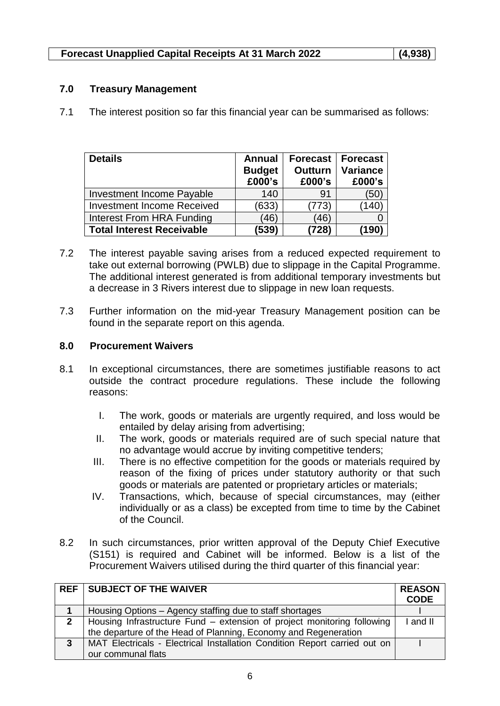## **7.0 Treasury Management**

7.1 The interest position so far this financial year can be summarised as follows:

| <b>Details</b>                    | <b>Annual</b><br><b>Budget</b><br>£000's | <b>Outturn</b><br>£000's | <b>Forecast   Forecast</b><br><b>Variance</b><br>£000's |
|-----------------------------------|------------------------------------------|--------------------------|---------------------------------------------------------|
| Investment Income Payable         | 140                                      | 91                       | (50)                                                    |
| <b>Investment Income Received</b> | (633)                                    | (773)                    | 140)                                                    |
| Interest From HRA Funding         | (46)                                     | (46)                     |                                                         |
| <b>Total Interest Receivable</b>  | (539)                                    | (728)                    | (190)                                                   |

- 7.2 The interest payable saving arises from a reduced expected requirement to take out external borrowing (PWLB) due to slippage in the Capital Programme. The additional interest generated is from additional temporary investments but a decrease in 3 Rivers interest due to slippage in new loan requests.
- 7.3 Further information on the mid-year Treasury Management position can be found in the separate report on this agenda.

## **8.0 Procurement Waivers**

- 8.1 In exceptional circumstances, there are sometimes justifiable reasons to act outside the contract procedure regulations. These include the following reasons:
	- I. The work, goods or materials are urgently required, and loss would be entailed by delay arising from advertising;
	- II. The work, goods or materials required are of such special nature that no advantage would accrue by inviting competitive tenders;
	- III. There is no effective competition for the goods or materials required by reason of the fixing of prices under statutory authority or that such goods or materials are patented or proprietary articles or materials;
	- IV. Transactions, which, because of special circumstances, may (either individually or as a class) be excepted from time to time by the Cabinet of the Council.
- 8.2 In such circumstances, prior written approval of the Deputy Chief Executive (S151) is required and Cabinet will be informed. Below is a list of the Procurement Waivers utilised during the third quarter of this financial year:

| <b>REF</b>  | SUBJECT OF THE WAIVER                                                     | <b>REASON</b><br><b>CODE</b> |
|-------------|---------------------------------------------------------------------------|------------------------------|
|             | Housing Options – Agency staffing due to staff shortages                  |                              |
| $2^{\circ}$ | Housing Infrastructure Fund – extension of project monitoring following   | and II                       |
|             | the departure of the Head of Planning, Economy and Regeneration           |                              |
| 3           | MAT Electricals - Electrical Installation Condition Report carried out on |                              |
|             | our communal flats                                                        |                              |